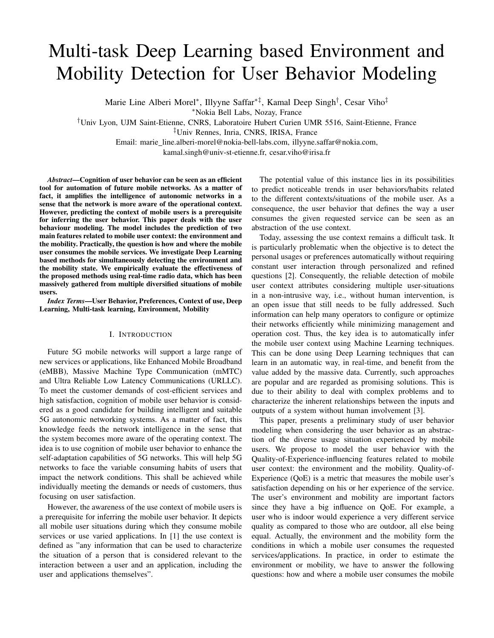# Multi-task Deep Learning based Environment and Mobility Detection for User Behavior Modeling

Marie Line Alberi Morel<sup>∗</sup> , Illyyne Saffar∗‡, Kamal Deep Singh† , Cesar Viho‡

<sup>∗</sup>Nokia Bell Labs, Nozay, France

†Univ Lyon, UJM Saint-Etienne, CNRS, Laboratoire Hubert Curien UMR 5516, Saint-Etienne, France

‡Univ Rennes, Inria, CNRS, IRISA, France

Email: marie line.alberi-morel@nokia-bell-labs.com, illyyne.saffar@nokia.com,

kamal.singh@univ-st-etienne.fr, cesar.viho@irisa.fr

*Abstract*—Cognition of user behavior can be seen as an efficient tool for automation of future mobile networks. As a matter of fact, it amplifies the intelligence of autonomic networks in a sense that the network is more aware of the operational context. However, predicting the context of mobile users is a prerequisite for inferring the user behavior. This paper deals with the user behaviour modeling. The model includes the prediction of two main features related to mobile user context: the environment and the mobility. Practically, the question is how and where the mobile user consumes the mobile services. We investigate Deep Learning based methods for simultaneously detecting the environment and the mobility state. We empirically evaluate the effectiveness of the proposed methods using real-time radio data, which has been massively gathered from multiple diversified situations of mobile users.

*Index Terms*—User Behavior, Preferences, Context of use, Deep Learning, Multi-task learning, Environment, Mobility

#### I. INTRODUCTION

Future 5G mobile networks will support a large range of new services or applications, like Enhanced Mobile Broadband (eMBB), Massive Machine Type Communication (mMTC) and Ultra Reliable Low Latency Communications (URLLC). To meet the customer demands of cost-efficient services and high satisfaction, cognition of mobile user behavior is considered as a good candidate for building intelligent and suitable 5G autonomic networking systems. As a matter of fact, this knowledge feeds the network intelligence in the sense that the system becomes more aware of the operating context. The idea is to use cognition of mobile user behavior to enhance the self-adaptation capabilities of 5G networks. This will help 5G networks to face the variable consuming habits of users that impact the network conditions. This shall be achieved while individually meeting the demands or needs of customers, thus focusing on user satisfaction.

However, the awareness of the use context of mobile users is a prerequisite for inferring the mobile user behavior. It depicts all mobile user situations during which they consume mobile services or use varied applications. In [1] the use context is defined as "any information that can be used to characterize the situation of a person that is considered relevant to the interaction between a user and an application, including the user and applications themselves".

The potential value of this instance lies in its possibilities to predict noticeable trends in user behaviors/habits related to the different contexts/situations of the mobile user. As a consequence, the user behavior that defines the way a user consumes the given requested service can be seen as an abstraction of the use context.

Today, assessing the use context remains a difficult task. It is particularly problematic when the objective is to detect the personal usages or preferences automatically without requiring constant user interaction through personalized and refined questions [2]. Consequently, the reliable detection of mobile user context attributes considering multiple user-situations in a non-intrusive way, i.e., without human intervention, is an open issue that still needs to be fully addressed. Such information can help many operators to configure or optimize their networks efficiently while minimizing management and operation cost. Thus, the key idea is to automatically infer the mobile user context using Machine Learning techniques. This can be done using Deep Learning techniques that can learn in an automatic way, in real-time, and benefit from the value added by the massive data. Currently, such approaches are popular and are regarded as promising solutions. This is due to their ability to deal with complex problems and to characterize the inherent relationships between the inputs and outputs of a system without human involvement [3].

This paper, presents a preliminary study of user behavior modeling when considering the user behavior as an abstraction of the diverse usage situation experienced by mobile users. We propose to model the user behavior with the Quality-of-Experience-influencing features related to mobile user context: the environment and the mobility. Quality-of-Experience (QoE) is a metric that measures the mobile user's satisfaction depending on his or her experience of the service. The user's environment and mobility are important factors since they have a big influence on QoE. For example, a user who is indoor would experience a very different service quality as compared to those who are outdoor, all else being equal. Actually, the environment and the mobility form the conditions in which a mobile user consumes the requested services/applications. In practice, in order to estimate the environment or mobility, we have to answer the following questions: how and where a mobile user consumes the mobile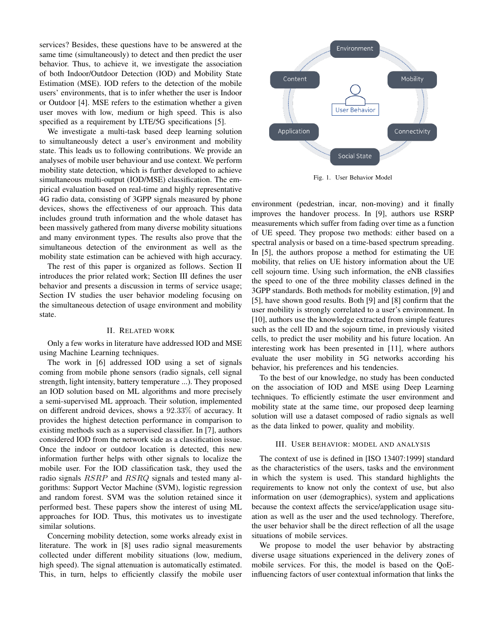services? Besides, these questions have to be answered at the same time (simultaneously) to detect and then predict the user behavior. Thus, to achieve it, we investigate the association of both Indoor/Outdoor Detection (IOD) and Mobility State Estimation (MSE). IOD refers to the detection of the mobile users' environments, that is to infer whether the user is Indoor or Outdoor [4]. MSE refers to the estimation whether a given user moves with low, medium or high speed. This is also specified as a requirement by LTE/5G specifications [5].

We investigate a multi-task based deep learning solution to simultaneously detect a user's environment and mobility state. This leads us to following contributions. We provide an analyses of mobile user behaviour and use context. We perform mobility state detection, which is further developed to achieve simultaneous multi-output (IOD/MSE) classification. The empirical evaluation based on real-time and highly representative 4G radio data, consisting of 3GPP signals measured by phone devices, shows the effectiveness of our approach. This data includes ground truth information and the whole dataset has been massively gathered from many diverse mobility situations and many environment types. The results also prove that the simultaneous detection of the environment as well as the mobility state estimation can be achieved with high accuracy.

The rest of this paper is organized as follows. Section II introduces the prior related work; Section III defines the user behavior and presents a discussion in terms of service usage; Section IV studies the user behavior modeling focusing on the simultaneous detection of usage environment and mobility state.

#### II. RELATED WORK

Only a few works in literature have addressed IOD and MSE using Machine Learning techniques.

The work in [6] addressed IOD using a set of signals coming from mobile phone sensors (radio signals, cell signal strength, light intensity, battery temperature ...). They proposed an IOD solution based on ML algorithms and more precisely a semi-supervised ML approach. Their solution, implemented on different android devices, shows a 92.33% of accuracy. It provides the highest detection performance in comparison to existing methods such as a supervised classifier. In [7], authors considered IOD from the network side as a classification issue. Once the indoor or outdoor location is detected, this new information further helps with other signals to localize the mobile user. For the IOD classification task, they used the radio signals RSRP and RSRQ signals and tested many algorithms: Support Vector Machine (SVM), logistic regression and random forest. SVM was the solution retained since it performed best. These papers show the interest of using ML approaches for IOD. Thus, this motivates us to investigate similar solutions.

Concerning mobility detection, some works already exist in literature. The work in [8] uses radio signal measurements collected under different mobility situations (low, medium, high speed). The signal attenuation is automatically estimated. This, in turn, helps to efficiently classify the mobile user



Fig. 1. User Behavior Model

environment (pedestrian, incar, non-moving) and it finally improves the handover process. In [9], authors use RSRP measurements which suffer from fading over time as a function of UE speed. They propose two methods: either based on a spectral analysis or based on a time-based spectrum spreading. In [5], the authors propose a method for estimating the UE mobility, that relies on UE history information about the UE cell sojourn time. Using such information, the eNB classifies the speed to one of the three mobility classes defined in the 3GPP standards. Both methods for mobility estimation, [9] and [5], have shown good results. Both [9] and [8] confirm that the user mobility is strongly correlated to a user's environment. In [10], authors use the knowledge extracted from simple features such as the cell ID and the sojourn time, in previously visited cells, to predict the user mobility and his future location. An interesting work has been presented in [11], where authors evaluate the user mobility in 5G networks according his behavior, his preferences and his tendencies.

To the best of our knowledge, no study has been conducted on the association of IOD and MSE using Deep Learning techniques. To efficiently estimate the user environment and mobility state at the same time, our proposed deep learning solution will use a dataset composed of radio signals as well as the data linked to power, quality and mobility.

#### III. USER BEHAVIOR: MODEL AND ANALYSIS

The context of use is defined in [ISO 13407:1999] standard as the characteristics of the users, tasks and the environment in which the system is used. This standard highlights the requirements to know not only the context of use, but also information on user (demographics), system and applications because the context affects the service/application usage situation as well as the user and the used technology. Therefore, the user behavior shall be the direct reflection of all the usage situations of mobile services.

We propose to model the user behavior by abstracting diverse usage situations experienced in the delivery zones of mobile services. For this, the model is based on the QoEinfluencing factors of user contextual information that links the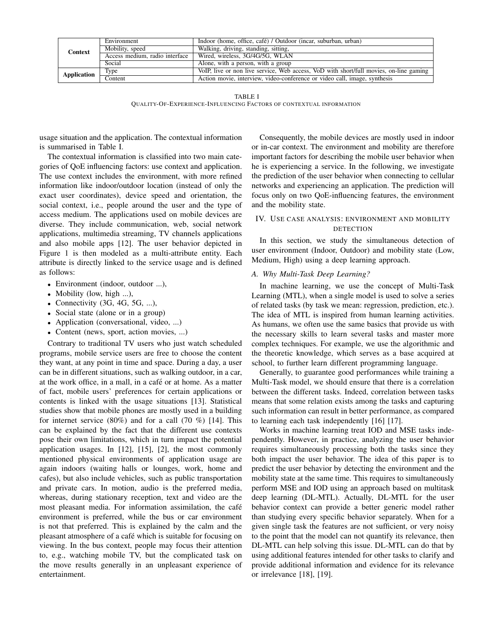| Context     | Environment                    | Indoor (home, office, café) / Outdoor (incar, suburban, urban)                         |  |
|-------------|--------------------------------|----------------------------------------------------------------------------------------|--|
|             | Mobility, speed                | Walking, driving, standing, sitting,                                                   |  |
|             | Access medium, radio interface | Wired, wireless, 3G/4G/5G, WLAN                                                        |  |
|             | Social                         | Alone, with a person, with a group                                                     |  |
| Application | Type                           | VoIP, live or non live service, Web access, VoD with short/full movies, on-line gaming |  |
|             | Content                        | Action movie, interview, video-conference or video call, image, synthesis              |  |

TABLE I QUALITY-OF-EXPERIENCE-INFLUENCING FACTORS OF CONTEXTUAL INFORMATION

usage situation and the application. The contextual information is summarised in Table I.

The contextual information is classified into two main categories of QoE influencing factors: use context and application. The use context includes the environment, with more refined information like indoor/outdoor location (instead of only the exact user coordinates), device speed and orientation, the social context, i.e., people around the user and the type of access medium. The applications used on mobile devices are diverse. They include communication, web, social network applications, multimedia streaming, TV channels applications and also mobile apps [12]. The user behavior depicted in Figure 1 is then modeled as a multi-attribute entity. Each attribute is directly linked to the service usage and is defined as follows:

- Environment (indoor, outdoor ...),
- Mobility (low, high ...),
- Connectivity  $(3G, 4G, 5G, \ldots)$ ,
- Social state (alone or in a group)
- Application (conversational, video, ...)
- Content (news, sport, action movies, ...)

Contrary to traditional TV users who just watch scheduled programs, mobile service users are free to choose the content they want, at any point in time and space. During a day, a user can be in different situations, such as walking outdoor, in a car, at the work office, in a mall, in a cafe or at home. As a matter ´ of fact, mobile users' preferences for certain applications or contents is linked with the usage situations [13]. Statistical studies show that mobile phones are mostly used in a building for internet service  $(80\%)$  and for a call  $(70\%)$  [14]. This can be explained by the fact that the different use contexts pose their own limitations, which in turn impact the potential application usages. In [12], [15], [2], the most commonly mentioned physical environments of application usage are again indoors (waiting halls or lounges, work, home and cafes), but also include vehicles, such as public transportation and private cars. In motion, audio is the preferred media, whereas, during stationary reception, text and video are the most pleasant media. For information assimilation, the café environment is preferred, while the bus or car environment is not that preferred. This is explained by the calm and the pleasant atmosphere of a cafe which is suitable for focusing on ´ viewing. In the bus context, people may focus their attention to, e.g., watching mobile TV, but the complicated task on the move results generally in an unpleasant experience of entertainment.

Consequently, the mobile devices are mostly used in indoor or in-car context. The environment and mobility are therefore important factors for describing the mobile user behavior when he is experiencing a service. In the following, we investigate the prediction of the user behavior when connecting to cellular networks and experiencing an application. The prediction will focus only on two QoE-influencing features, the environment and the mobility state.

## IV. USE CASE ANALYSIS: ENVIRONMENT AND MOBILITY **DETECTION**

In this section, we study the simultaneous detection of user environment (Indoor, Outdoor) and mobility state (Low, Medium, High) using a deep learning approach.

### *A. Why Multi-Task Deep Learning?*

In machine learning, we use the concept of Multi-Task Learning (MTL), when a single model is used to solve a series of related tasks (by task we mean: regression, prediction, etc.). The idea of MTL is inspired from human learning activities. As humans, we often use the same basics that provide us with the necessary skills to learn several tasks and master more complex techniques. For example, we use the algorithmic and the theoretic knowledge, which serves as a base acquired at school, to further learn different programming language.

Generally, to guarantee good performances while training a Multi-Task model, we should ensure that there is a correlation between the different tasks. Indeed, correlation between tasks means that some relation exists among the tasks and capturing such information can result in better performance, as compared to learning each task independently [16] [17].

Works in machine learning treat IOD and MSE tasks independently. However, in practice, analyzing the user behavior requires simultaneously processing both the tasks since they both impact the user behavior. The idea of this paper is to predict the user behavior by detecting the environment and the mobility state at the same time. This requires to simultaneously perform MSE and IOD using an approach based on multitask deep learning (DL-MTL). Actually, DL-MTL for the user behavior context can provide a better generic model rather than studying every specific behavior separately. When for a given single task the features are not sufficient, or very noisy to the point that the model can not quantify its relevance, then DL-MTL can help solving this issue. DL-MTL can do that by using additional features intended for other tasks to clarify and provide additional information and evidence for its relevance or irrelevance [18], [19].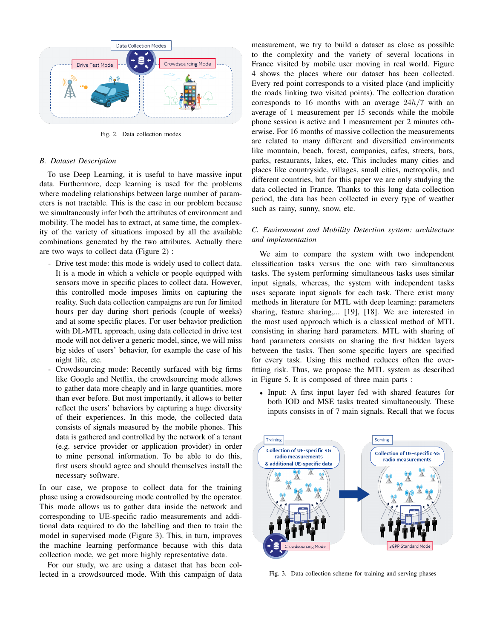

Fig. 2. Data collection modes

#### *B. Dataset Description*

To use Deep Learning, it is useful to have massive input data. Furthermore, deep learning is used for the problems where modeling relationships between large number of parameters is not tractable. This is the case in our problem because we simultaneously infer both the attributes of environment and mobility. The model has to extract, at same time, the complexity of the variety of situations imposed by all the available combinations generated by the two attributes. Actually there are two ways to collect data (Figure 2) :

- Drive test mode: this mode is widely used to collect data. It is a mode in which a vehicle or people equipped with sensors move in specific places to collect data. However, this controlled mode imposes limits on capturing the reality. Such data collection campaigns are run for limited hours per day during short periods (couple of weeks) and at some specific places. For user behavior prediction with DL-MTL approach, using data collected in drive test mode will not deliver a generic model, since, we will miss big sides of users' behavior, for example the case of his night life, etc.
- Crowdsourcing mode: Recently surfaced with big firms like Google and Netflix, the crowdsourcing mode allows to gather data more cheaply and in large quantities, more than ever before. But most importantly, it allows to better reflect the users' behaviors by capturing a huge diversity of their experiences. In this mode, the collected data consists of signals measured by the mobile phones. This data is gathered and controlled by the network of a tenant (e.g. service provider or application provider) in order to mine personal information. To be able to do this, first users should agree and should themselves install the necessary software.

In our case, we propose to collect data for the training phase using a crowdsourcing mode controlled by the operator. This mode allows us to gather data inside the network and corresponding to UE-specific radio measurements and additional data required to do the labelling and then to train the model in supervised mode (Figure 3). This, in turn, improves the machine learning performance because with this data collection mode, we get more highly representative data.

For our study, we are using a dataset that has been collected in a crowdsourced mode. With this campaign of data measurement, we try to build a dataset as close as possible to the complexity and the variety of several locations in France visited by mobile user moving in real world. Figure 4 shows the places where our dataset has been collected. Every red point corresponds to a visited place (and implicitly the roads linking two visited points). The collection duration corresponds to 16 months with an average  $24h/7$  with an average of 1 measurement per 15 seconds while the mobile phone session is active and 1 measurement per 2 minutes otherwise. For 16 months of massive collection the measurements are related to many different and diversified environments like mountain, beach, forest, companies, cafes, streets, bars, parks, restaurants, lakes, etc. This includes many cities and places like countryside, villages, small cities, metropolis, and different countries, but for this paper we are only studying the data collected in France. Thanks to this long data collection period, the data has been collected in every type of weather such as rainy, sunny, snow, etc.

## *C. Environment and Mobility Detection system: architecture and implementation*

We aim to compare the system with two independent classification tasks versus the one with two simultaneous tasks. The system performing simultaneous tasks uses similar input signals, whereas, the system with independent tasks uses separate input signals for each task. There exist many methods in literature for MTL with deep learning: parameters sharing, feature sharing,... [19], [18]. We are interested in the most used approach which is a classical method of MTL consisting in sharing hard parameters. MTL with sharing of hard parameters consists on sharing the first hidden layers between the tasks. Then some specific layers are specified for every task. Using this method reduces often the overfitting risk. Thus, we propose the MTL system as described in Figure 5. It is composed of three main parts :

• Input: A first input layer fed with shared features for both IOD and MSE tasks treated simultaneously. These inputs consists in of 7 main signals. Recall that we focus



Fig. 3. Data collection scheme for training and serving phases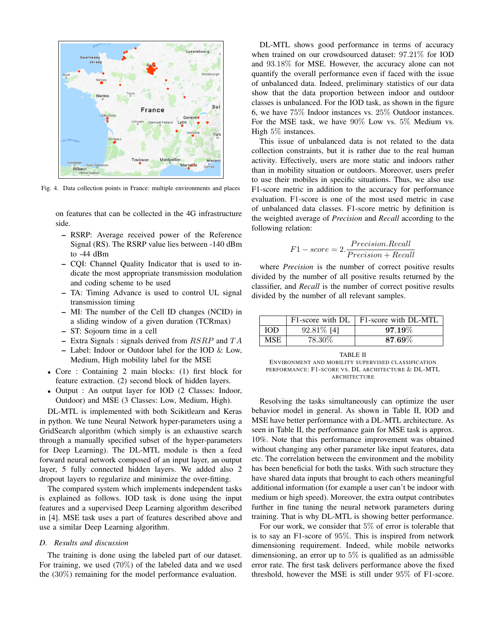

Fig. 4. Data collection points in France: multiple environments and places

on features that can be collected in the 4G infrastructure side.

- RSRP: Average received power of the Reference Signal (RS). The RSRP value lies between -140 dBm to -44 dBm
- CQI: Channel Quality Indicator that is used to indicate the most appropriate transmission modulation and coding scheme to be used
- TA: Timing Advance is used to control UL signal transmission timing
- MI: The number of the Cell ID changes (NCID) in a sliding window of a given duration (TCRmax)
- ST: Sojourn time in a cell
- Extra Signals : signals derived from  $RSRP$  and  $TA$
- Label: Indoor or Outdoor label for the IOD & Low, Medium, High mobility label for the MSE
- Core : Containing 2 main blocks: (1) first block for feature extraction. (2) second block of hidden layers.
- Output : An output layer for IOD (2 Classes: Indoor, Outdoor) and MSE (3 Classes: Low, Medium, High).

DL-MTL is implemented with both Scikitlearn and Keras in python. We tune Neural Network hyper-parameters using a GridSearch algorithm (which simply is an exhaustive search through a manually specified subset of the hyper-parameters for Deep Learning). The DL-MTL module is then a feed forward neural network composed of an input layer, an output layer, 5 fully connected hidden layers. We added also 2 dropout layers to regularize and minimize the over-fitting.

The compared system which implements independent tasks is explained as follows. IOD task is done using the input features and a supervised Deep Learning algorithm described in [4]. MSE task uses a part of features described above and use a similar Deep Learning algorithm.

#### *D. Results and discussion*

The training is done using the labeled part of our dataset. For training, we used (70%) of the labeled data and we used the (30%) remaining for the model performance evaluation.

DL-MTL shows good performance in terms of accuracy when trained on our crowdsourced dataset: 97.21% for IOD and 93.18% for MSE. However, the accuracy alone can not quantify the overall performance even if faced with the issue of unbalanced data. Indeed, preliminary statistics of our data show that the data proportion between indoor and outdoor classes is unbalanced. For the IOD task, as shown in the figure 6, we have 75% Indoor instances vs. 25% Outdoor instances. For the MSE task, we have 90% Low vs. 5% Medium vs. High 5% instances.

This issue of unbalanced data is not related to the data collection constraints, but it is rather due to the real human activity. Effectively, users are more static and indoors rather than in mobility situation or outdoors. Moreover, users prefer to use their mobiles in specific situations. Thus, we also use F1-score metric in addition to the accuracy for performance evaluation. F1-score is one of the most used metric in case of unbalanced data classes. F1-score metric by definition is the weighted average of *Precision* and *Recall* according to the following relation:

$$
F1-score = 2.\frac{Precision. Recall}{Precision + Recall}
$$

where *Precision* is the number of correct positive results divided by the number of all positive results returned by the classifier, and *Recall* is the number of correct positive results divided by the number of all relevant samples.

|                  | F1-score with DL | F1-score with DL-MTL |
|------------------|------------------|----------------------|
| UOD <sup>"</sup> | 92.81% [4]       | $97.19\%$            |
| <b>MSE</b>       | 78.30%           | $\mathbf{87.69}\%$   |

TABLE II ENVIRONMENT AND MOBILITY SUPERVISED CLASSIFICATION PERFORMANCE: F1-SCORE VS. DL ARCHITECTURE & DL-MTL ARCHITECTURE

Resolving the tasks simultaneously can optimize the user behavior model in general. As shown in Table II, IOD and MSE have better performance with a DL-MTL architecture. As seen in Table II, the performance gain for MSE task is approx. 10%. Note that this performance improvement was obtained without changing any other parameter like input features, data etc. The correlation between the environment and the mobility has been beneficial for both the tasks. With such structure they have shared data inputs that brought to each others meaningful additional information (for example a user can't be indoor with medium or high speed). Moreover, the extra output contributes further in fine tuning the neural network parameters during training. That is why DL-MTL is showing better performance.

For our work, we consider that 5% of error is tolerable that is to say an F1-score of 95%. This is inspired from network dimensioning requirement. Indeed, while mobile networks dimensioning, an error up to  $5\%$  is qualified as an admissible error rate. The first task delivers performance above the fixed threshold, however the MSE is still under 95% of F1-score.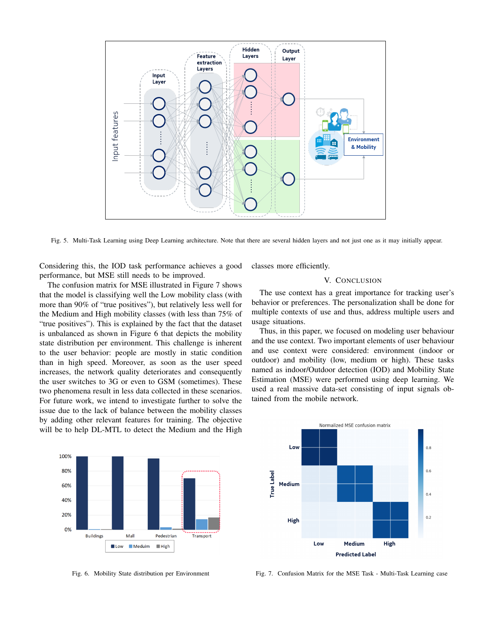

Fig. 5. Multi-Task Learning using Deep Learning architecture. Note that there are several hidden layers and not just one as it may initially appear.

Considering this, the IOD task performance achieves a good performance, but MSE still needs to be improved.

The confusion matrix for MSE illustrated in Figure 7 shows that the model is classifying well the Low mobility class (with more than 90% of "true positives"), but relatively less well for the Medium and High mobility classes (with less than 75% of "true positives"). This is explained by the fact that the dataset is unbalanced as shown in Figure 6 that depicts the mobility state distribution per environment. This challenge is inherent to the user behavior: people are mostly in static condition than in high speed. Moreover, as soon as the user speed increases, the network quality deteriorates and consequently the user switches to 3G or even to GSM (sometimes). These two phenomena result in less data collected in these scenarios. For future work, we intend to investigate further to solve the issue due to the lack of balance between the mobility classes by adding other relevant features for training. The objective will be to help DL-MTL to detect the Medium and the High

classes more efficiently.

#### V. CONCLUSION

The use context has a great importance for tracking user's behavior or preferences. The personalization shall be done for multiple contexts of use and thus, address multiple users and usage situations.

Thus, in this paper, we focused on modeling user behaviour and the use context. Two important elements of user behaviour and use context were considered: environment (indoor or outdoor) and mobility (low, medium or high). These tasks named as indoor/Outdoor detection (IOD) and Mobility State Estimation (MSE) were performed using deep learning. We used a real massive data-set consisting of input signals obtained from the mobile network.





Fig. 6. Mobility State distribution per Environment

Fig. 7. Confusion Matrix for the MSE Task - Multi-Task Learning case